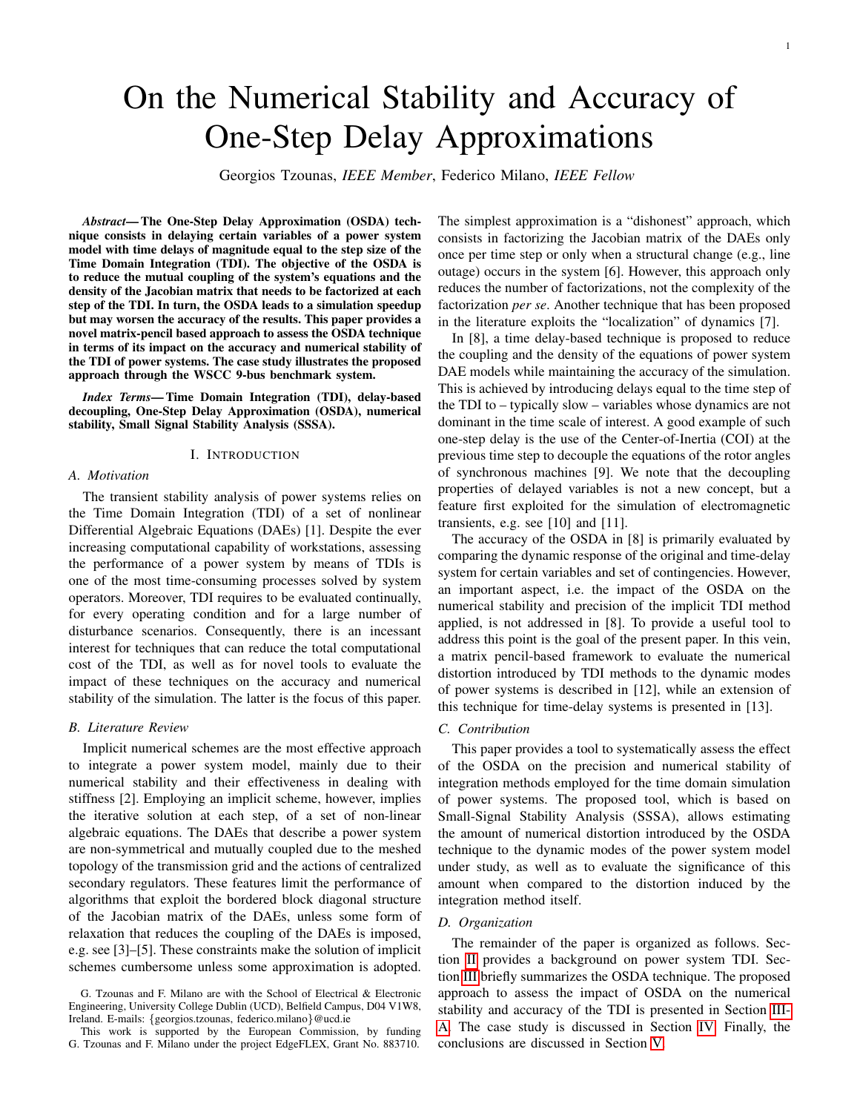# On the Numerical Stability and Accuracy of One-Step Delay Approximations

Georgios Tzounas, *IEEE Member*, Federico Milano, *IEEE Fellow*

*Abstract*— The One-Step Delay Approximation (OSDA) technique consists in delaying certain variables of a power system model with time delays of magnitude equal to the step size of the Time Domain Integration (TDI). The objective of the OSDA is to reduce the mutual coupling of the system's equations and the density of the Jacobian matrix that needs to be factorized at each step of the TDI. In turn, the OSDA leads to a simulation speedup but may worsen the accuracy of the results. This paper provides a novel matrix-pencil based approach to assess the OSDA technique in terms of its impact on the accuracy and numerical stability of the TDI of power systems. The case study illustrates the proposed approach through the WSCC 9-bus benchmark system.

*Index Terms*— Time Domain Integration (TDI), delay-based decoupling, One-Step Delay Approximation (OSDA), numerical stability, Small Signal Stability Analysis (SSSA).

#### I. INTRODUCTION

#### *A. Motivation*

The transient stability analysis of power systems relies on the Time Domain Integration (TDI) of a set of nonlinear Differential Algebraic Equations (DAEs) [1]. Despite the ever increasing computational capability of workstations, assessing the performance of a power system by means of TDIs is one of the most time-consuming processes solved by system operators. Moreover, TDI requires to be evaluated continually, for every operating condition and for a large number of disturbance scenarios. Consequently, there is an incessant interest for techniques that can reduce the total computational cost of the TDI, as well as for novel tools to evaluate the impact of these techniques on the accuracy and numerical stability of the simulation. The latter is the focus of this paper.

# *B. Literature Review*

Implicit numerical schemes are the most effective approach to integrate a power system model, mainly due to their numerical stability and their effectiveness in dealing with stiffness [2]. Employing an implicit scheme, however, implies the iterative solution at each step, of a set of non-linear algebraic equations. The DAEs that describe a power system are non-symmetrical and mutually coupled due to the meshed topology of the transmission grid and the actions of centralized secondary regulators. These features limit the performance of algorithms that exploit the bordered block diagonal structure of the Jacobian matrix of the DAEs, unless some form of relaxation that reduces the coupling of the DAEs is imposed, e.g. see [3]–[5]. These constraints make the solution of implicit schemes cumbersome unless some approximation is adopted.

This work is supported by the European Commission, by funding G. Tzounas and F. Milano under the project EdgeFLEX, Grant No. 883710.

The simplest approximation is a "dishonest" approach, which consists in factorizing the Jacobian matrix of the DAEs only once per time step or only when a structural change (e.g., line outage) occurs in the system [6]. However, this approach only reduces the number of factorizations, not the complexity of the factorization *per se*. Another technique that has been proposed in the literature exploits the "localization" of dynamics [7].

In [8], a time delay-based technique is proposed to reduce the coupling and the density of the equations of power system DAE models while maintaining the accuracy of the simulation. This is achieved by introducing delays equal to the time step of the TDI to – typically slow – variables whose dynamics are not dominant in the time scale of interest. A good example of such one-step delay is the use of the Center-of-Inertia (COI) at the previous time step to decouple the equations of the rotor angles of synchronous machines [9]. We note that the decoupling properties of delayed variables is not a new concept, but a feature first exploited for the simulation of electromagnetic transients, e.g. see [10] and [11].

The accuracy of the OSDA in [8] is primarily evaluated by comparing the dynamic response of the original and time-delay system for certain variables and set of contingencies. However, an important aspect, i.e. the impact of the OSDA on the numerical stability and precision of the implicit TDI method applied, is not addressed in [8]. To provide a useful tool to address this point is the goal of the present paper. In this vein, a matrix pencil-based framework to evaluate the numerical distortion introduced by TDI methods to the dynamic modes of power systems is described in [12], while an extension of this technique for time-delay systems is presented in [13].

#### *C. Contribution*

This paper provides a tool to systematically assess the effect of the OSDA on the precision and numerical stability of integration methods employed for the time domain simulation of power systems. The proposed tool, which is based on Small-Signal Stability Analysis (SSSA), allows estimating the amount of numerical distortion introduced by the OSDA technique to the dynamic modes of the power system model under study, as well as to evaluate the significance of this amount when compared to the distortion induced by the integration method itself.

#### *D. Organization*

The remainder of the paper is organized as follows. Section [II](#page-1-0) provides a background on power system TDI. Section [III](#page-1-1) briefly summarizes the OSDA technique. The proposed approach to assess the impact of OSDA on the numerical stability and accuracy of the TDI is presented in Section [III-](#page-2-0)[A.](#page-2-0) The case study is discussed in Section [IV.](#page-2-1) Finally, the conclusions are discussed in Section [V.](#page-4-0)

G. Tzounas and F. Milano are with the School of Electrical & Electronic Engineering, University College Dublin (UCD), Belfield Campus, D04 V1W8, Ireland. E-mails: {georgios.tzounas, federico.milano}@ucd.ie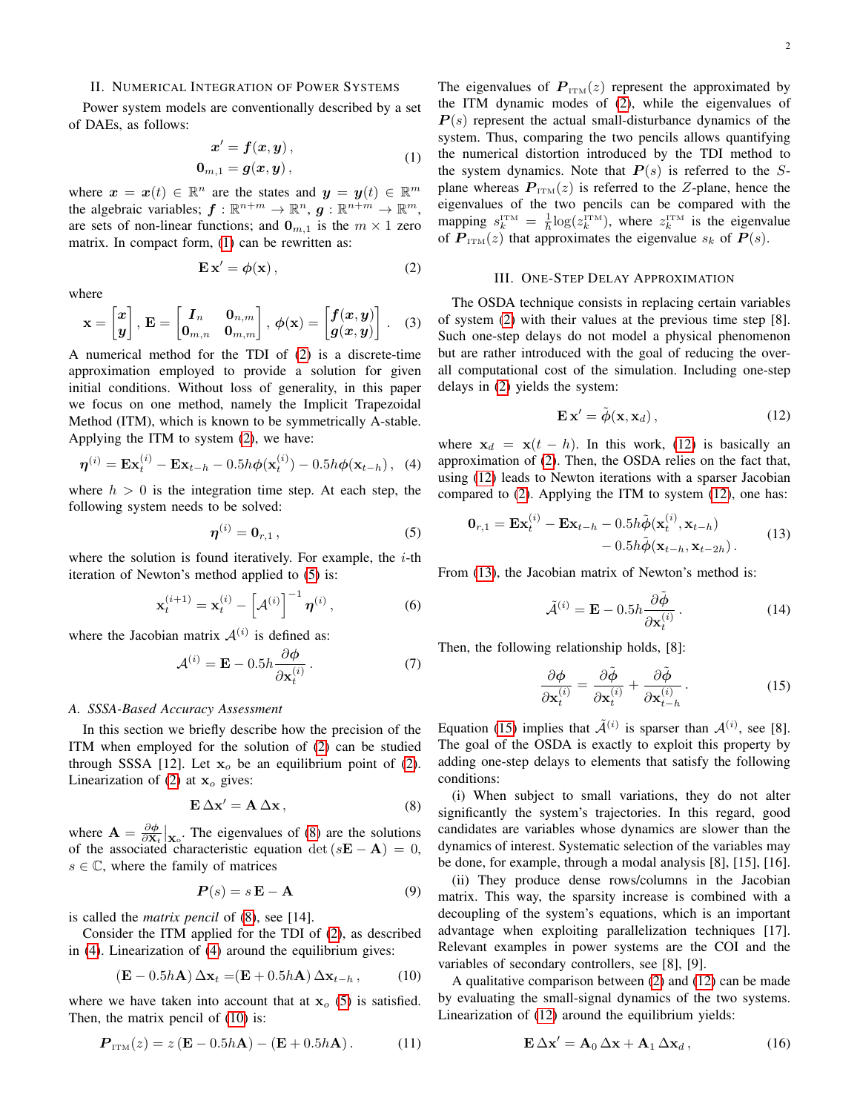#### <span id="page-1-0"></span>II. NUMERICAL INTEGRATION OF POWER SYSTEMS

Power system models are conventionally described by a set of DAEs, as follows:

<span id="page-1-2"></span>
$$
x' = f(x, y),
$$
  
\n
$$
0_{m,1} = g(x, y),
$$
\n(1)

where  $x = x(t) \in \mathbb{R}^n$  are the states and  $y = y(t) \in \mathbb{R}^m$ the algebraic variables;  $f : \mathbb{R}^{n+m} \to \mathbb{R}^n$ ,  $g : \mathbb{R}^{n+m} \to \mathbb{R}^m$ , are sets of non-linear functions; and  $\mathbf{0}_{m,1}$  is the  $m \times 1$  zero matrix. In compact form, [\(1\)](#page-1-2) can be rewritten as:

<span id="page-1-3"></span>
$$
\mathbf{E}\,\mathbf{x}' = \boldsymbol{\phi}(\mathbf{x})\,,\tag{2}
$$

where

$$
\mathbf{x} = \begin{bmatrix} x \\ y \end{bmatrix}, \ \mathbf{E} = \begin{bmatrix} I_n & \mathbf{0}_{n,m} \\ \mathbf{0}_{m,n} & \mathbf{0}_{m,m} \end{bmatrix}, \ \phi(\mathbf{x}) = \begin{bmatrix} f(x,y) \\ g(x,y) \end{bmatrix}. \tag{3}
$$

A numerical method for the TDI of [\(2\)](#page-1-3) is a discrete-time approximation employed to provide a solution for given initial conditions. Without loss of generality, in this paper we focus on one method, namely the Implicit Trapezoidal Method (ITM), which is known to be symmetrically A-stable. Applying the ITM to system [\(2\)](#page-1-3), we have:

<span id="page-1-6"></span>
$$
\boldsymbol{\eta}^{(i)} = \mathbf{Ex}_{t}^{(i)} - \mathbf{Ex}_{t-h} - 0.5h\phi(\mathbf{x}_{t}^{(i)}) - 0.5h\phi(\mathbf{x}_{t-h}), \quad (4)
$$

where  $h > 0$  is the integration time step. At each step, the following system needs to be solved:

<span id="page-1-4"></span>
$$
\boldsymbol{\eta}^{(i)} = \mathbf{0}_{r,1} \,, \tag{5}
$$

where the solution is found iteratively. For example, the  $i$ -th iteration of Newton's method applied to [\(5\)](#page-1-4) is:

$$
\mathbf{x}_{t}^{(i+1)} = \mathbf{x}_{t}^{(i)} - \left[ A^{(i)} \right]^{-1} \boldsymbol{\eta}^{(i)}, \tag{6}
$$

where the Jacobian matrix  $A^{(i)}$  is defined as:

$$
\mathcal{A}^{(i)} = \mathbf{E} - 0.5h \frac{\partial \phi}{\partial \mathbf{x}_t^{(i)}}.
$$
 (7)

### <span id="page-1-12"></span>*A. SSSA-Based Accuracy Assessment*

In this section we briefly describe how the precision of the ITM when employed for the solution of [\(2\)](#page-1-3) can be studied through SSSA [12]. Let  $x<sub>o</sub>$  be an equilibrium point of [\(2\)](#page-1-3). Linearization of [\(2\)](#page-1-3) at  $x_0$  gives:

<span id="page-1-5"></span>
$$
\mathbf{E}\,\Delta\mathbf{x}' = \mathbf{A}\,\Delta\mathbf{x}\,,\tag{8}
$$

where  $\mathbf{A} = \frac{\partial \phi}{\partial \mathbf{x}_t} \big|_{\mathbf{x}_0}$ . The eigenvalues of [\(8\)](#page-1-5) are the solutions of the associated characteristic equation det  $(sE - A) = 0$ ,  $s \in \mathbb{C}$ , where the family of matrices

$$
P(s) = s \mathbf{E} - \mathbf{A} \tag{9}
$$

is called the *matrix pencil* of [\(8\)](#page-1-5), see [14].

Consider the ITM applied for the TDI of [\(2\)](#page-1-3), as described in [\(4\)](#page-1-6). Linearization of [\(4\)](#page-1-6) around the equilibrium gives:

<span id="page-1-7"></span>
$$
(\mathbf{E} - 0.5h\mathbf{A}) \Delta \mathbf{x}_t = (\mathbf{E} + 0.5h\mathbf{A}) \Delta \mathbf{x}_{t-h}, \quad (10)
$$

where we have taken into account that at  $x_0$  [\(5\)](#page-1-4) is satisfied. Then, the matrix pencil of [\(10\)](#page-1-7) is:

$$
\boldsymbol{P}_{\text{ITM}}(z) = z \left( \mathbf{E} - 0.5h \mathbf{A} \right) - \left( \mathbf{E} + 0.5h \mathbf{A} \right). \tag{11}
$$

The eigenvalues of  $P_{\text{ITM}}(z)$  represent the approximated by the ITM dynamic modes of [\(2\)](#page-1-3), while the eigenvalues of  $P(s)$  represent the actual small-disturbance dynamics of the system. Thus, comparing the two pencils allows quantifying the numerical distortion introduced by the TDI method to the system dynamics. Note that  $P(s)$  is referred to the Splane whereas  $P_{\text{ITM}}(z)$  is referred to the Z-plane, hence the eigenvalues of the two pencils can be compared with the mapping  $s_k^{\text{ITM}} = \frac{1}{h} \log(z_k^{\text{ITM}})$ , where  $z_k^{\text{ITM}}$  is the eigenvalue of  $P_{\text{ITM}}(z)$  that approximates the eigenvalue  $s_k$  of  $P(s)$ .

### III. ONE-STEP DELAY APPROXIMATION

<span id="page-1-1"></span>The OSDA technique consists in replacing certain variables of system [\(2\)](#page-1-3) with their values at the previous time step [8]. Such one-step delays do not model a physical phenomenon but are rather introduced with the goal of reducing the overall computational cost of the simulation. Including one-step delays in [\(2\)](#page-1-3) yields the system:

<span id="page-1-8"></span>
$$
\mathbf{E}\,\mathbf{x}' = \tilde{\boldsymbol{\phi}}(\mathbf{x}, \mathbf{x}_d)\,,\tag{12}
$$

where  $x_d = x(t - h)$ . In this work, [\(12\)](#page-1-8) is basically an approximation of [\(2\)](#page-1-3). Then, the OSDA relies on the fact that, using [\(12\)](#page-1-8) leads to Newton iterations with a sparser Jacobian compared to [\(2\)](#page-1-3). Applying the ITM to system [\(12\)](#page-1-8), one has:

<span id="page-1-9"></span>
$$
\mathbf{0}_{r,1} = \mathbf{Ex}_{t}^{(i)} - \mathbf{Ex}_{t-h} - 0.5h\tilde{\boldsymbol{\phi}}(\mathbf{x}_{t}^{(i)}, \mathbf{x}_{t-h}) - 0.5h\tilde{\boldsymbol{\phi}}(\mathbf{x}_{t-h}, \mathbf{x}_{t-2h}).
$$
\n(13)

From [\(13\)](#page-1-9), the Jacobian matrix of Newton's method is:

$$
\tilde{\mathcal{A}}^{(i)} = \mathbf{E} - 0.5h \frac{\partial \tilde{\boldsymbol{\phi}}}{\partial \mathbf{x}_t^{(i)}}.
$$
\n(14)

Then, the following relationship holds, [8]:

<span id="page-1-10"></span>
$$
\frac{\partial \phi}{\partial \mathbf{x}_t^{(i)}} = \frac{\partial \tilde{\phi}}{\partial \mathbf{x}_t^{(i)}} + \frac{\partial \tilde{\phi}}{\partial \mathbf{x}_{t-h}^{(i)}}.
$$
\n(15)

Equation [\(15\)](#page-1-10) implies that  $\tilde{\mathcal{A}}^{(i)}$  is sparser than  $\mathcal{A}^{(i)}$ , see [8]. The goal of the OSDA is exactly to exploit this property by adding one-step delays to elements that satisfy the following conditions:

(i) When subject to small variations, they do not alter significantly the system's trajectories. In this regard, good candidates are variables whose dynamics are slower than the dynamics of interest. Systematic selection of the variables may be done, for example, through a modal analysis [8], [15], [16].

(ii) They produce dense rows/columns in the Jacobian matrix. This way, the sparsity increase is combined with a decoupling of the system's equations, which is an important advantage when exploiting parallelization techniques [17]. Relevant examples in power systems are the COI and the variables of secondary controllers, see [8], [9].

A qualitative comparison between [\(2\)](#page-1-3) and [\(12\)](#page-1-8) can be made by evaluating the small-signal dynamics of the two systems. Linearization of [\(12\)](#page-1-8) around the equilibrium yields:

<span id="page-1-11"></span>
$$
\mathbf{E}\,\Delta\mathbf{x}' = \mathbf{A}_0\,\Delta\mathbf{x} + \mathbf{A}_1\,\Delta\mathbf{x}_d\,,\tag{16}
$$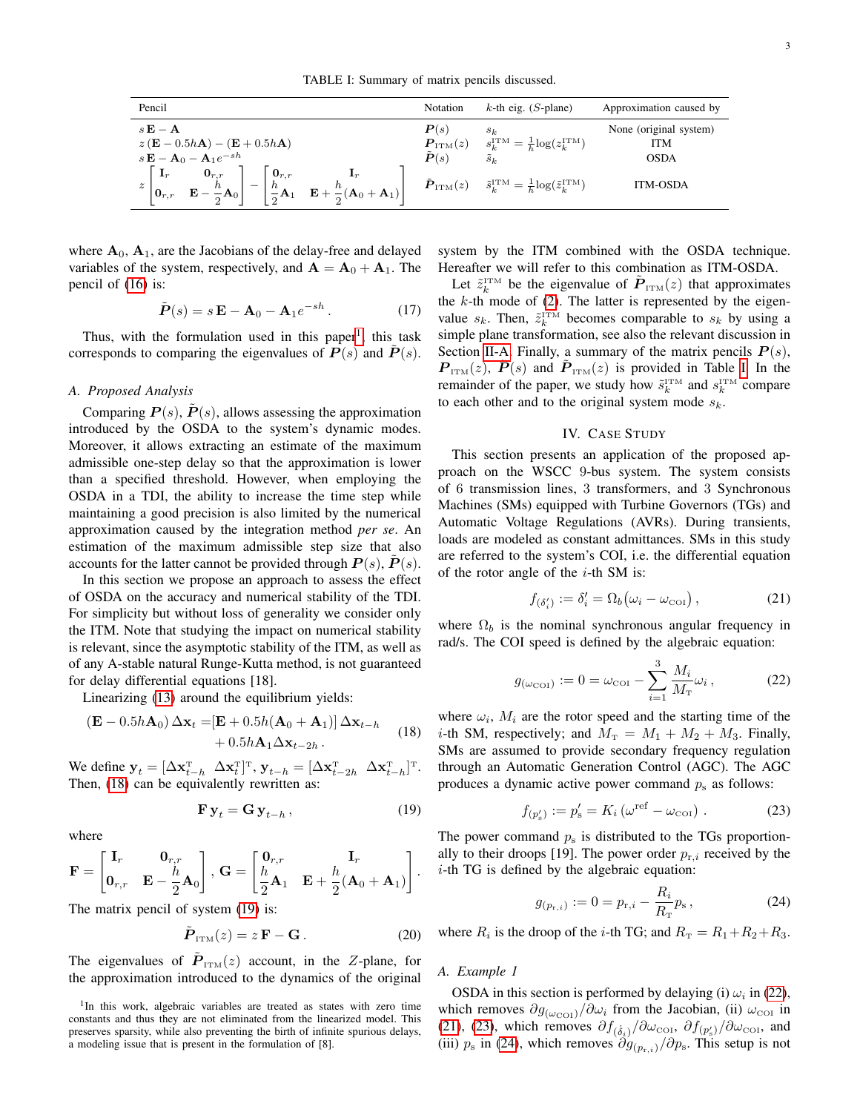TABLE I: Summary of matrix pencils discussed.

<span id="page-2-5"></span>

| Pencil                                                                                                                                                                                                                                                                                                                          | Notation                                                        | $k$ -th eig. (S-plane)                                                                                                                                                                            | Approximation caused by                                                |
|---------------------------------------------------------------------------------------------------------------------------------------------------------------------------------------------------------------------------------------------------------------------------------------------------------------------------------|-----------------------------------------------------------------|---------------------------------------------------------------------------------------------------------------------------------------------------------------------------------------------------|------------------------------------------------------------------------|
| $s\mathbf{E}-\mathbf{A}$<br>$z(\mathbf{E} - 0.5h\mathbf{A}) - (\mathbf{E} + 0.5h\mathbf{A})$<br>$s\mathbf{E}-\mathbf{A}_0-\mathbf{A}_1e^{-sh}$<br>$\mathbf{0}_{r,r}$<br>$\mathbf{0}_{r,r}$<br>$\mathbf{I}_r$<br>$\left  \frac{h}{2} \mathbf{A}_1 \mathbf{E} + \frac{h}{2} (\mathbf{A}_0 + \mathbf{A}_1) \right $<br>$ 0_{r,r} $ | P(s)<br>$\boldsymbol{P}_{\text{ITM}}(z)$<br>$\boldsymbol{P}(s)$ | $s_k$<br>$s_k^{\text{ITM}} = \frac{1}{h} \log(z_k^{\text{ITM}})$<br>$\tilde{s}_k$<br>$\tilde{\bm{P}}_{\text{ITM}}(z)$ $\tilde{s}_{k}^{\text{ITM}} = \frac{1}{b} \log(\tilde{z}_{k}^{\text{ITM}})$ | None (original system)<br><b>ITM</b><br><b>OSDA</b><br><b>ITM-OSDA</b> |

where  $A_0$ ,  $A_1$ , are the Jacobians of the delay-free and delayed variables of the system, respectively, and  $A = A_0 + A_1$ . The pencil of [\(16\)](#page-1-11) is:

$$
\tilde{\boldsymbol{P}}(s) = s \mathbf{E} - \mathbf{A}_0 - \mathbf{A}_1 e^{-sh} \,. \tag{17}
$$

Thus, with the formulation used in this paper<sup>[1](#page-2-2)</sup>, this task corresponds to comparing the eigenvalues of  $P(s)$  and  $P(s)$ .

#### <span id="page-2-0"></span>*A. Proposed Analysis*

Comparing  $P(s)$ ,  $P(s)$ , allows assessing the approximation introduced by the OSDA to the system's dynamic modes. Moreover, it allows extracting an estimate of the maximum admissible one-step delay so that the approximation is lower than a specified threshold. However, when employing the OSDA in a TDI, the ability to increase the time step while maintaining a good precision is also limited by the numerical approximation caused by the integration method *per se*. An estimation of the maximum admissible step size that also accounts for the latter cannot be provided through  $P(s)$ ,  $\dot{P}(s)$ .

In this section we propose an approach to assess the effect of OSDA on the accuracy and numerical stability of the TDI. For simplicity but without loss of generality we consider only the ITM. Note that studying the impact on numerical stability is relevant, since the asymptotic stability of the ITM, as well as of any A-stable natural Runge-Kutta method, is not guaranteed for delay differential equations [18].

Linearizing [\(13\)](#page-1-9) around the equilibrium yields:

<span id="page-2-3"></span>
$$
(\mathbf{E} - 0.5h\mathbf{A}_0) \Delta \mathbf{x}_t = [\mathbf{E} + 0.5h(\mathbf{A}_0 + \mathbf{A}_1)] \Delta \mathbf{x}_{t-h}+ 0.5h\mathbf{A}_1 \Delta \mathbf{x}_{t-2h}.
$$
 (18)

We define  $\mathbf{y}_t = [\Delta \mathbf{x}_{t-h}^{\mathrm{T}} \ \Delta \mathbf{x}_t^{\mathrm{T}}]^{\mathrm{T}}$ ,  $\mathbf{y}_{t-h} = [\Delta \mathbf{x}_{t-2h}^{\mathrm{T}} \ \Delta \mathbf{x}_{t-h}^{\mathrm{T}}]^{\mathrm{T}}$ . Then, [\(18\)](#page-2-3) can be equivalently rewritten as:

<span id="page-2-4"></span>
$$
\mathbf{F}\,\mathbf{y}_t = \mathbf{G}\,\mathbf{y}_{t-h} \,,\tag{19}
$$

where

$$
\mathbf{F} = \begin{bmatrix} \mathbf{I}_r & \mathbf{0}_{r,r} \\ \mathbf{0}_{r,r} & \mathbf{E} - \frac{h}{2}\mathbf{A}_0 \end{bmatrix}, \, \mathbf{G} = \begin{bmatrix} \mathbf{0}_{r,r} & \mathbf{I}_r \\ \frac{h}{2}\mathbf{A}_1 & \mathbf{E} + \frac{h}{2}(\mathbf{A}_0 + \mathbf{A}_1) \end{bmatrix}.
$$

The matrix pencil of system [\(19\)](#page-2-4) is:

$$
\tilde{\boldsymbol{P}}_{\text{ITM}}(z) = z \, \mathbf{F} - \mathbf{G} \,. \tag{20}
$$

The eigenvalues of  $\tilde{P}_{TTM}(z)$  account, in the Z-plane, for the approximation introduced to the dynamics of the original system by the ITM combined with the OSDA technique. Hereafter we will refer to this combination as ITM-OSDA.

Let  $\tilde{z}_k^{\text{ITM}}$  be the eigenvalue of  $\tilde{P}_{\text{ITM}}(z)$  that approximates the  $k$ -th mode of [\(2\)](#page-1-3). The latter is represented by the eigenvalue  $s_k$ . Then,  $\tilde{z}_k^{\text{ITM}}$  becomes comparable to  $s_k$  by using a simple plane transformation, see also the relevant discussion in Section [II-A.](#page-1-12) Finally, a summary of the matrix pencils  $P(s)$ ,  $\mathbf{P}_{\text{ITM}}(z)$ ,  $\tilde{\mathbf{P}}(s)$  and  $\tilde{\mathbf{P}}_{\text{ITM}}(z)$  is provided in Table [I.](#page-2-5) In the remainder of the paper, we study how  $\tilde{s}_k^{\text{ITM}}$  and  $s_k^{\text{ITM}}$  compare to each other and to the original system mode  $s_k$ .

# IV. CASE STUDY

<span id="page-2-1"></span>This section presents an application of the proposed approach on the WSCC 9-bus system. The system consists of 6 transmission lines, 3 transformers, and 3 Synchronous Machines (SMs) equipped with Turbine Governors (TGs) and Automatic Voltage Regulations (AVRs). During transients, loads are modeled as constant admittances. SMs in this study are referred to the system's COI, i.e. the differential equation of the rotor angle of the  $i$ -th SM is:

<span id="page-2-7"></span><span id="page-2-6"></span>
$$
f_{(\delta_i')} := \delta_i' = \Omega_b(\omega_i - \omega_{\text{cor}}), \qquad (21)
$$

where  $\Omega_b$  is the nominal synchronous angular frequency in rad/s. The COI speed is defined by the algebraic equation:

$$
g_{(\omega_{\text{COI}})} := 0 = \omega_{\text{COI}} - \sum_{i=1}^{3} \frac{M_i}{M_{\text{T}}} \omega_i, \qquad (22)
$$

where  $\omega_i$ ,  $M_i$  are the rotor speed and the starting time of the *i*-th SM, respectively; and  $M_T = M_1 + M_2 + M_3$ . Finally, SMs are assumed to provide secondary frequency regulation through an Automatic Generation Control (AGC). The AGC produces a dynamic active power command  $p_s$  as follows:

<span id="page-2-8"></span>
$$
f_{(p'_s)} := p'_s = K_i \left(\omega^{\text{ref}} - \omega_{\text{col}}\right). \tag{23}
$$

The power command  $p_s$  is distributed to the TGs proportionally to their droops [19]. The power order  $p_{r,i}$  received by the  $i$ -th TG is defined by the algebraic equation:

<span id="page-2-9"></span>
$$
g_{(p_{\mathbf{r},i})} := 0 = p_{\mathbf{r},i} - \frac{R_i}{R_{\mathbf{r}}} p_{\mathbf{s}}\,,\tag{24}
$$

where  $R_i$  is the droop of the *i*-th TG; and  $R_T = R_1 + R_2 + R_3$ .

# *A. Example 1*

OSDA in this section is performed by delaying (i)  $\omega_i$  in [\(22\)](#page-2-6), which removes  $\partial g_{(\omega_{\text{COI}})} / \partial \omega_i$  from the Jacobian, (ii)  $\omega_{\text{COI}}$  in [\(21\)](#page-2-7), [\(23\)](#page-2-8), which removes  $\partial f_{(\dot{\delta}_i)} / \partial \omega_{\text{COI}}$ ,  $\partial f_{(p'_s)} / \partial \omega_{\text{COI}}$ , and (iii)  $p_s$  in [\(24\)](#page-2-9), which removes  $\partial g_{(p_{r,i})}/\partial p_s$ . This setup is not

<span id="page-2-2"></span><sup>&</sup>lt;sup>1</sup>In this work, algebraic variables are treated as states with zero time constants and thus they are not eliminated from the linearized model. This preserves sparsity, while also preventing the birth of infinite spurious delays, a modeling issue that is present in the formulation of [8].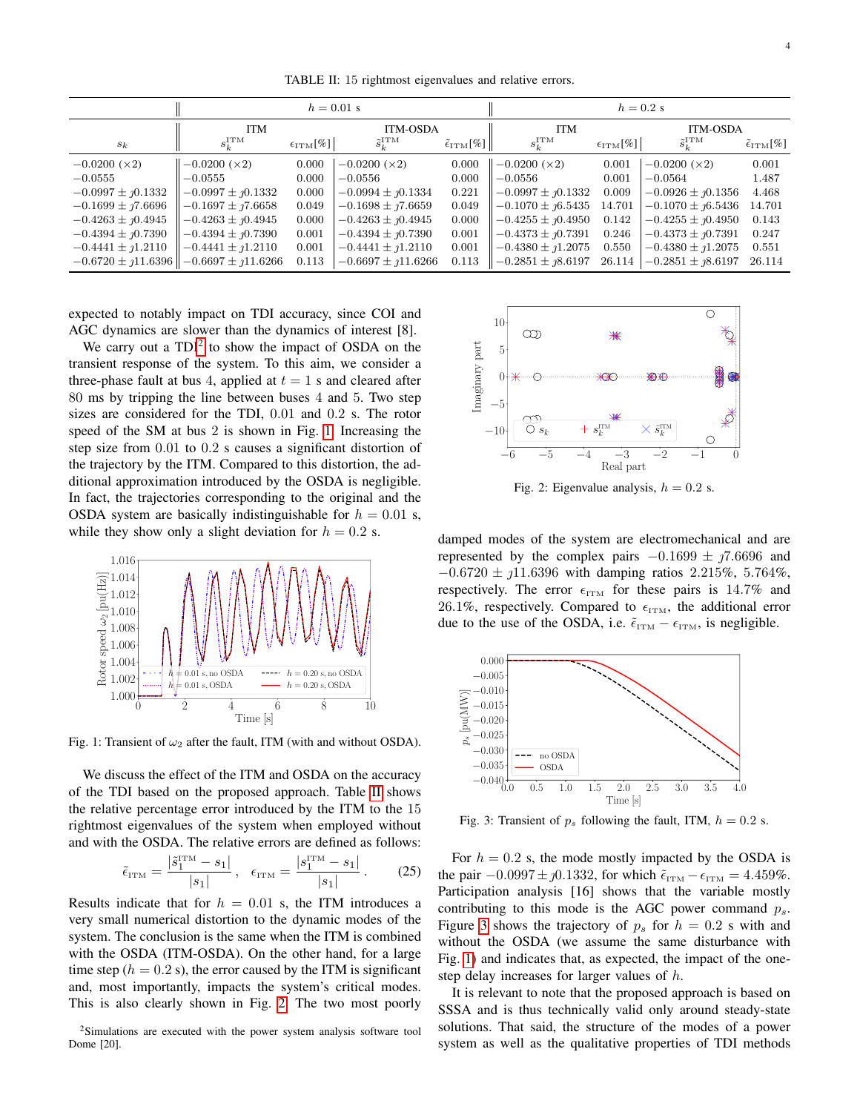TABLE II: 15 rightmost eigenvalues and relative errors.

<span id="page-3-2"></span>

|                                | $h = 0.01$ s                                   |                             |                                | $h = 0.2$ s                           |                             |                             |                               |                                     |
|--------------------------------|------------------------------------------------|-----------------------------|--------------------------------|---------------------------------------|-----------------------------|-----------------------------|-------------------------------|-------------------------------------|
|                                | <b>ITM</b>                                     |                             | <b>ITM-OSDA</b>                |                                       | <b>ITM</b>                  |                             | <b>ITM-OSDA</b>               |                                     |
| $s_k$                          | $s_k^{\mathrm{ITM}}$                           | $\epsilon_{\text{ITM}}[\%]$ | $\tilde{s}_{k}^{\mathrm{ITM}}$ | $\tilde{\epsilon}_{\text{ITM}}[\%]\ $ | $s_k^{\mathrm{ITM}}$        | $\epsilon_{\text{ITM}}[\%]$ | $\tilde{s}_k^{\mathrm{ITM}}$  | $\tilde{\epsilon}_{\text{ITM}}[\%]$ |
| $-0.0200 \; (x2)$              | $-0.0200 \; (x2)$                              | 0.000                       | $-0.0200 \; (\times 2)$        | 0.000                                 | $-0.0200 \; (\times 2)$     | 0.001                       | $-0.0200 \; (x2)$             | 0.001                               |
| $-0.0555$                      | $-0.0555$                                      | 0.000                       | $-0.0556$                      | 0.000                                 | $-0.0556$                   | 0.001                       | $-0.0564$                     | 1.487                               |
| $-0.0997 \pm \eta 0.1332$      | $-0.0997 \pm \eta 0.1332$                      | 0.000                       | $-0.0994 \pm 0.1334$           | 0.221                                 | $-0.0997 \pm \eta 0.1332$   | 0.009                       | $-0.0926 \pm \eta 0.1356$     | 4.468                               |
| $-0.1699 \pm \frac{1}{0.6696}$ | $-0.1697 \pm \frac{1}{0.6658}$                 | 0.049                       | $-0.1698 \pm 7.6659$           | 0.049                                 | $-0.1070 \pm \iota 6.5435$  | 14.701                      | $-0.1070 \pm 1.5436$          | 14.701                              |
| $-0.4263 \pm \eta$ 0.4945      | $-0.4263 \pm \gamma 0.4945$                    | 0.000                       | $-0.4263 \pm \gamma 0.4945$    | 0.000                                 | $-0.4255 \pm \jmath 0.4950$ | 0.142                       | $-0.4255 \pm \jmath 0.4950$   | 0.143                               |
| $-0.4394 \pm \jmath 0.7390$    | $-0.4394 \pm 0.7390$                           | 0.001                       | $-0.4394 \pm 10.7390$          | 0.001                                 | $-0.4373 \pm \eta$ 0.7391   | 0.246                       | $-0.4373 \pm \vartheta$ .7391 | 0.247                               |
| $-0.4441 \pm 1.2110$           | $-0.4441 \pm 1.2110$                           | 0.001                       | $-0.4441 \pm 1.2110$           | 0.001                                 | $-0.4380 \pm 1.2075$        | 0.550                       | $-0.4380 \pm 1.2075$          | 0.551                               |
|                                | $-0.6720 \pm 11.6396$    $-0.6697 \pm 11.6266$ | 0.113                       | $-0.6697 \pm 11.6266$          | 0.113                                 | $-0.2851 \pm \gamma 8.6197$ | 26.114                      | $-0.2851 \pm 1.6197$          | 26.114                              |

expected to notably impact on TDI accuracy, since COI and AGC dynamics are slower than the dynamics of interest [8].

We carry out a  $TDI^2$  $TDI^2$  to show the impact of OSDA on the transient response of the system. To this aim, we consider a three-phase fault at bus 4, applied at  $t = 1$  s and cleared after 80 ms by tripping the line between buses 4 and 5. Two step sizes are considered for the TDI, 0.01 and 0.2 s. The rotor speed of the SM at bus 2 is shown in Fig. [1.](#page-3-1) Increasing the step size from 0.01 to 0.2 s causes a significant distortion of the trajectory by the ITM. Compared to this distortion, the additional approximation introduced by the OSDA is negligible. In fact, the trajectories corresponding to the original and the OSDA system are basically indistinguishable for  $h = 0.01$  s, while they show only a slight deviation for  $h = 0.2$  s.

<span id="page-3-1"></span>

Fig. 1: Transient of  $\omega_2$  after the fault, ITM (with and without OSDA).

We discuss the effect of the ITM and OSDA on the accuracy of the TDI based on the proposed approach. Table [II](#page-3-2) shows the relative percentage error introduced by the ITM to the 15 rightmost eigenvalues of the system when employed without and with the OSDA. The relative errors are defined as follows:

$$
\tilde{\epsilon}_{\text{ITM}} = \frac{|\tilde{s}_1^{\text{ITM}} - s_1|}{|s_1|}, \quad \epsilon_{\text{ITM}} = \frac{|s_1^{\text{ITM}} - s_1|}{|s_1|}. \tag{25}
$$

Results indicate that for  $h = 0.01$  s, the ITM introduces a very small numerical distortion to the dynamic modes of the system. The conclusion is the same when the ITM is combined with the OSDA (ITM-OSDA). On the other hand, for a large time step ( $h = 0.2$  s), the error caused by the ITM is significant and, most importantly, impacts the system's critical modes. This is also clearly shown in Fig. [2.](#page-3-3) The two most poorly

<span id="page-3-0"></span>

<span id="page-3-3"></span>

damped modes of the system are electromechanical and are represented by the complex pairs  $-0.1699 \pm 0.76696$  and  $-0.6720 \pm 11.6396$  with damping ratios 2.215%, 5.764%, respectively. The error  $\epsilon_{ITM}$  for these pairs is 14.7% and 26.1%, respectively. Compared to  $\epsilon_{\text{ITM}}$ , the additional error due to the use of the OSDA, i.e.  $\tilde{\epsilon}_{TTM} - \epsilon_{TTM}$ , is negligible.

<span id="page-3-4"></span>

Fig. 3: Transient of  $p_s$  following the fault, ITM,  $h = 0.2$  s.

For  $h = 0.2$  s, the mode mostly impacted by the OSDA is the pair  $-0.0997 \pm \jmath 0.1332$ , for which  $\tilde{\epsilon}_{TTM} - \epsilon_{TTM} = 4.459\%$ . Participation analysis [16] shows that the variable mostly contributing to this mode is the AGC power command  $p_s$ . Figure [3](#page-3-4) shows the trajectory of  $p_s$  for  $h = 0.2$  s with and without the OSDA (we assume the same disturbance with Fig. [1\)](#page-3-1) and indicates that, as expected, the impact of the onestep delay increases for larger values of h.

It is relevant to note that the proposed approach is based on SSSA and is thus technically valid only around steady-state solutions. That said, the structure of the modes of a power system as well as the qualitative properties of TDI methods